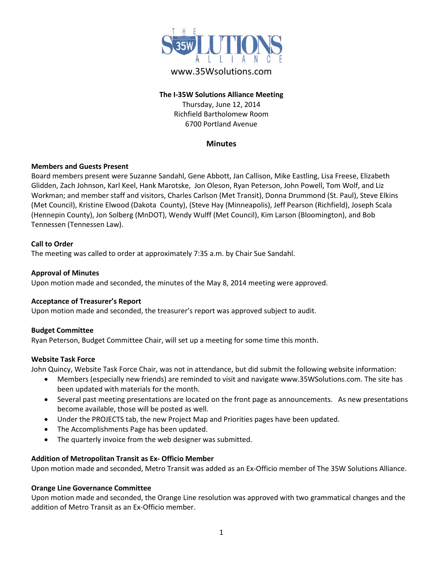

# www.35Wsolutions.com

# **The I-35W Solutions Alliance Meeting** Thursday, June 12, 2014 Richfield Bartholomew Room 6700 Portland Avenue

# **Minutes**

# **Members and Guests Present**

Board members present were Suzanne Sandahl, Gene Abbott, Jan Callison, Mike Eastling, Lisa Freese, Elizabeth Glidden, Zach Johnson, Karl Keel, Hank Marotske, Jon Oleson, Ryan Peterson, John Powell, Tom Wolf, and Liz Workman; and member staff and visitors, Charles Carlson (Met Transit), Donna Drummond (St. Paul), Steve Elkins (Met Council), Kristine Elwood (Dakota County), (Steve Hay (Minneapolis), Jeff Pearson (Richfield), Joseph Scala (Hennepin County), Jon Solberg (MnDOT), Wendy Wulff (Met Council), Kim Larson (Bloomington), and Bob Tennessen (Tennessen Law).

#### **Call to Order**

The meeting was called to order at approximately 7:35 a.m. by Chair Sue Sandahl.

#### **Approval of Minutes**

Upon motion made and seconded, the minutes of the May 8, 2014 meeting were approved.

#### **Acceptance of Treasurer's Report**

Upon motion made and seconded, the treasurer's report was approved subject to audit.

#### **Budget Committee**

Ryan Peterson, Budget Committee Chair, will set up a meeting for some time this month.

#### **Website Task Force**

John Quincy, Website Task Force Chair, was not in attendance, but did submit the following website information:

- Members (especially new friends) are reminded to visit and navigate [www.35WSolutions.com.](http://www.35wsolutions.com/) The site has been updated with materials for the month.
- Several past meeting presentations are located on the front page as announcements. As new presentations become available, those will be posted as well.
- Under the PROJECTS tab, the new Project Map and Priorities pages have been updated.
- The Accomplishments Page has been updated.
- The quarterly invoice from the web designer was submitted.

#### **Addition of Metropolitan Transit as Ex- Officio Member**

Upon motion made and seconded, Metro Transit was added as an Ex-Officio member of The 35W Solutions Alliance.

#### **Orange Line Governance Committee**

Upon motion made and seconded, the Orange Line resolution was approved with two grammatical changes and the addition of Metro Transit as an Ex-Officio member.